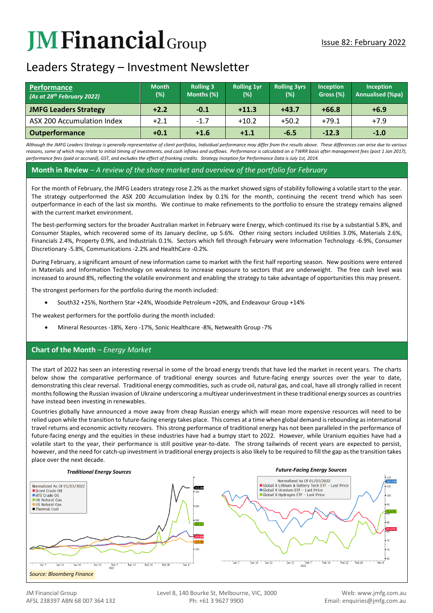# **JM Financial** Group

### Leaders Strategy – Investment Newsletter

| <b>Performance</b><br>(As at 28 <sup>th</sup> February 2022) | <b>Month</b><br>$(\%)$ | <b>Rolling 3</b><br>Months (%) | <b>Rolling 1yr</b><br>(%) | <b>Rolling 3yrs</b><br>(%) | Inception<br>Gross (%) | <b>Inception</b><br><b>Annualised (%pa)</b> |
|--------------------------------------------------------------|------------------------|--------------------------------|---------------------------|----------------------------|------------------------|---------------------------------------------|
| <b>JMFG Leaders Strategy</b>                                 | $+2.2$                 | $-0.1$                         | $+11.3$                   | $+43.7$                    | $+66.8$                | $+6.9$                                      |
| ASX 200 Accumulation Index                                   | $+2.1$                 | $-1.7$                         | $+10.2$                   | $+50.2$                    | $+79.1$                | $+7.9$                                      |
| <b>Outperformance</b>                                        | $+0.1$                 | $+1.6$                         | $+1.1$                    | $-6.5$                     | $-12.3$                | $-1.0$                                      |

*Although the JMFG Leaders Strategy is generally representative of client portfolios, Individual performance may differ from the results above. These differences can arise due to various*  reasons, some of which may relate to initial timing of investments, and cash inflows and outflows. Performance is calculated on a TWRR basis after management fees (post 1 Jan 2017), *performance fees (paid or accrued), GST, and excludes the effect of franking credits. Strategy Inception for Performance Data is July 1st, 2014.*

#### **Month in Review** *– A review of the share market and overview of the portfolio for February*

For the month of February, the JMFG Leaders strategy rose 2.2% as the market showed signs of stability following a volatile start to the year. The strategy outperformed the ASX 200 Accumulation Index by 0.1% for the month, continuing the recent trend which has seen outperformance in each of the last six months. We continue to make refinements to the portfolio to ensure the strategy remains aligned with the current market environment.

The best-performing sectors for the broader Australian market in February were Energy, which continued its rise by a substantial 5.8%, and Consumer Staples, which recovered some of its January decline, up 5.6%. Other rising sectors included Utilities 3.0%, Materials 2.6%, Financials 2.4%, Property 0.9%, and Industrials 0.1%. Sectors which fell through February were Information Technology -6.9%, Consumer Discretionary -5.8%, Communications -2.2% and HealthCare -0.2%.

During February, a significant amount of new information came to market with the first half reporting season. New positions were entered in Materials and Information Technology on weakness to increase exposure to sectors that are underweight. The free cash level was increased to around 8%, reflecting the volatile environment and enabling the strategy to take advantage of opportunities this may present.

The strongest performers for the portfolio during the month included:

• South32 +25%, Northern Star +24%, Woodside Petroleum +20%, and Endeavour Group +14%

The weakest performers for the portfolio during the month included:

• Mineral Resources -18%, Xero -17%, Sonic Healthcare -8%, Netwealth Group -7%

#### **Chart of the Month** *– Energy Market*

The start of 2022 has seen an interesting reversal in some of the broad energy trends that have led the market in recent years. The charts below show the comparative performance of traditional energy sources and future-facing energy sources over the year to date, demonstrating this clear reversal. Traditional energy commodities, such as crude oil, natural gas, and coal, have all strongly rallied in recent months following the Russian invasion of Ukraine underscoring a multiyear underinvestment in these traditional energy sources as countries have instead been investing in renewables.

Countries globally have announced a move away from cheap Russian energy which will mean more expensive resources will need to be relied upon while the transition to future-facing energy takes place. This comes at a time when global demand is rebounding as international travel returns and economic activity recovers. This strong performance of traditional energy has not been paralleled in the performance of future-facing energy and the equities in these industries have had a bumpy start to 2022. However, while Uranium equities have had a volatile start to the year, their performance is still positive year-to-date. The strong tailwinds of recent years are expected to persist, however, and the need for catch-up investment in traditional energy projects is also likely to be required to fill the gap as the transition takes place over the next decade.